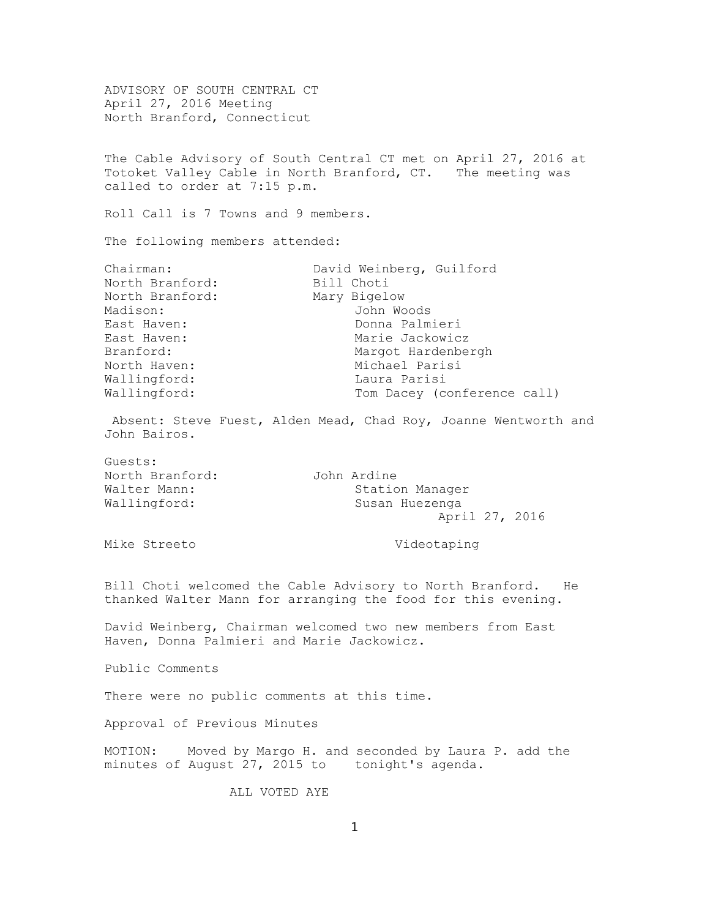ADVISORY OF SOUTH CENTRAL CT April 27, 2016 Meeting North Branford, Connecticut The Cable Advisory of South Central CT met on April 27, 2016 at Totoket Valley Cable in North Branford, CT. The meeting was called to order at 7:15 p.m. Roll Call is 7 Towns and 9 members. The following members attended: Chairman: David Weinberg, Guilford North Branford: Bill Choti North Branford: Mary Bigelow Madison: John Woods East Haven: Donna Palmieri East Haven: Marie Jackowicz Branford: Margot Hardenbergh North Haven: Michael Parisi Wallingford: Laura Parisi Wallingford: Tom Dacey (conference call) Absent: Steve Fuest, Alden Mead, Chad Roy, Joanne Wentworth and John Bairos. Guests: North Branford: John Ardine Walter Mann: Station Manager Wallingford: Susan Huezenga April 27, 2016 Mike Streeto **Videotaping** Bill Choti welcomed the Cable Advisory to North Branford. He thanked Walter Mann for arranging the food for this evening. David Weinberg, Chairman welcomed two new members from East Haven, Donna Palmieri and Marie Jackowicz. Public Comments There were no public comments at this time. Approval of Previous Minutes MOTION: Moved by Margo H. and seconded by Laura P. add the minutes of August 27, 2015 to tonight's agenda. ALL VOTED AYE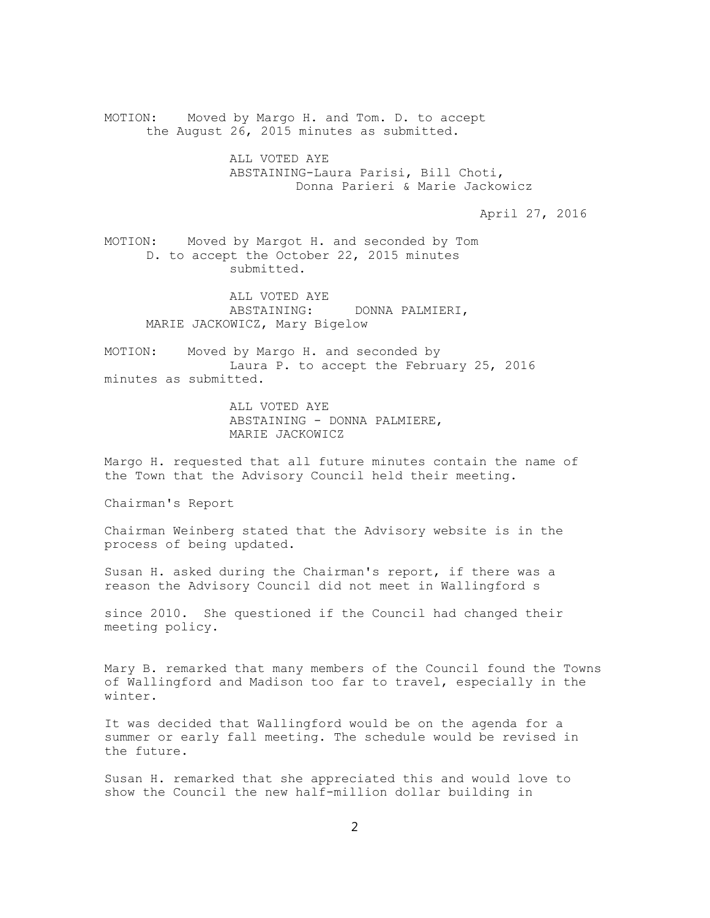MOTION: Moved by Margo H. and Tom. D. to accept the August 26, 2015 minutes as submitted. ALL VOTED AYE ABSTAINING-Laura Parisi, Bill Choti, Donna Parieri & Marie Jackowicz April 27, 2016 MOTION: Moved by Margot H. and seconded by Tom D. to accept the October 22, 2015 minutes submitted. ALL VOTED AYE ABSTAINING: DONNA PALMIERI, MARIE JACKOWICZ, Mary Bigelow MOTION: Moved by Margo H. and seconded by Laura P. to accept the February 25, 2016 minutes as submitted. ALL VOTED AYE ABSTAINING - DONNA PALMIERE, MARIE JACKOWICZ Margo H. requested that all future minutes contain the name of the Town that the Advisory Council held their meeting.

Chairman's Report

Chairman Weinberg stated that the Advisory website is in the process of being updated.

Susan H. asked during the Chairman's report, if there was a reason the Advisory Council did not meet in Wallingford s

since 2010. She questioned if the Council had changed their meeting policy.

Mary B. remarked that many members of the Council found the Towns of Wallingford and Madison too far to travel, especially in the winter.

It was decided that Wallingford would be on the agenda for a summer or early fall meeting. The schedule would be revised in the future.

Susan H. remarked that she appreciated this and would love to show the Council the new half-million dollar building in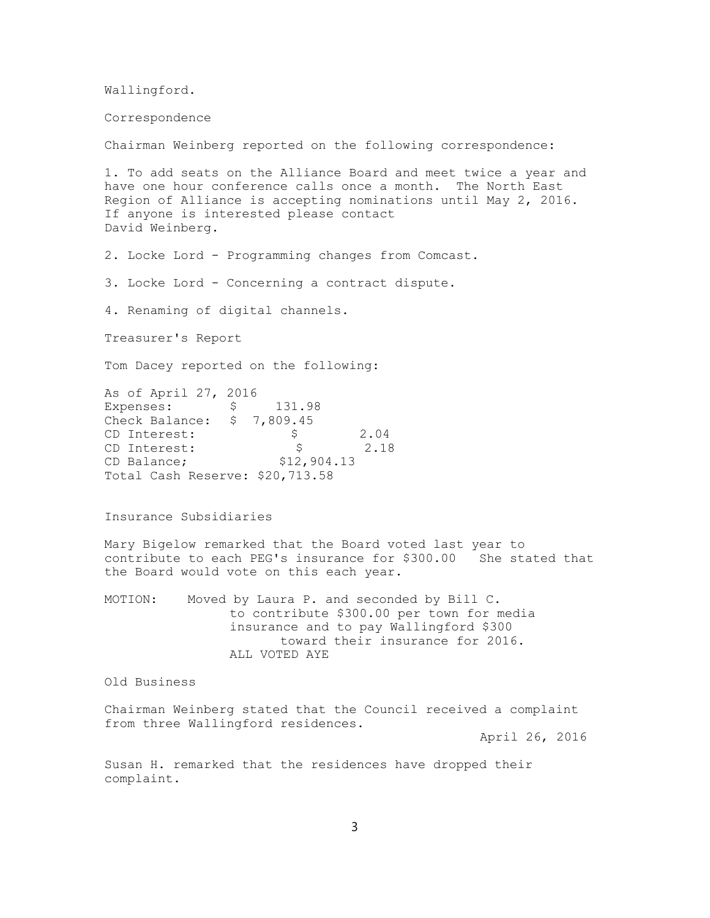Wallingford.

Correspondence

Chairman Weinberg reported on the following correspondence:

1. To add seats on the Alliance Board and meet twice a year and have one hour conference calls once a month. The North East Region of Alliance is accepting nominations until May 2, 2016. If anyone is interested please contact David Weinberg.

2. Locke Lord - Programming changes from Comcast.

3. Locke Lord - Concerning a contract dispute.

4. Renaming of digital channels.

Treasurer's Report

Tom Dacey reported on the following:

As of April 27, 2016 Expenses:  $\frac{131.98}{ }$ Check Balance: \$ 7,809.45 CD Interest: \$ 2.04 CD Interest:  $\qquad \qquad$  \$ 2.18 CD Balance; \$12,904.13 Total Cash Reserve: \$20,713.58

Insurance Subsidiaries

Mary Bigelow remarked that the Board voted last year to contribute to each PEG's insurance for \$300.00 She stated that the Board would vote on this each year.

MOTION: Moved by Laura P. and seconded by Bill C. to contribute \$300.00 per town for media insurance and to pay Wallingford \$300 toward their insurance for 2016. ALL VOTED AYE

Old Business

Chairman Weinberg stated that the Council received a complaint from three Wallingford residences.

April 26, 2016

Susan H. remarked that the residences have dropped their complaint.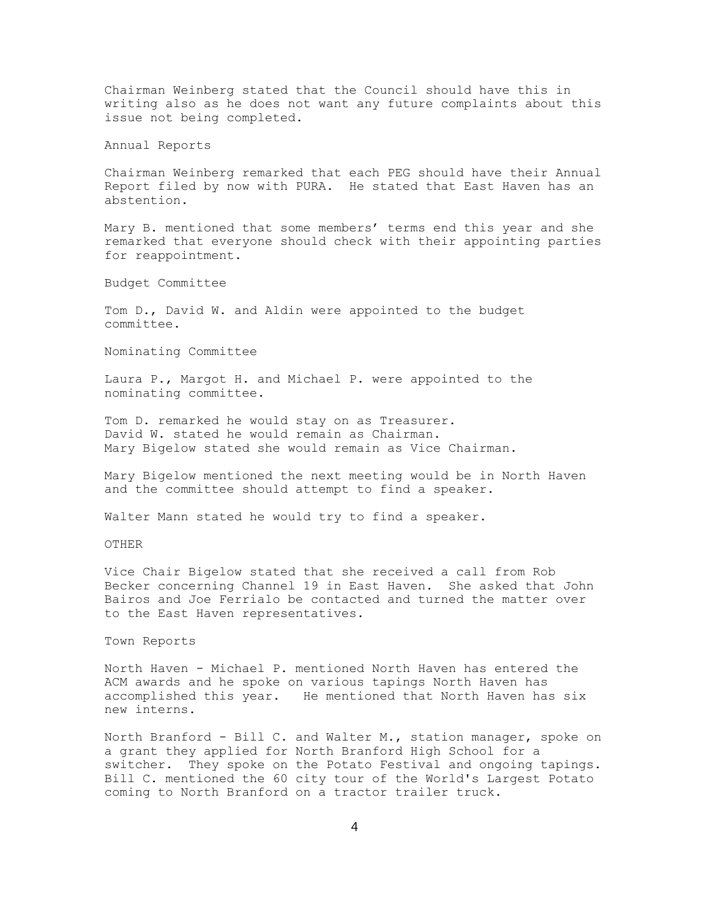Chairman Weinberg stated that the Council should have this in writing also as he does not want any future complaints about this issue not being completed.

Annual Reports

Chairman Weinberg remarked that each PEG should have their Annual Report filed by now with PURA. He stated that East Haven has an abstention.

Mary B. mentioned that some members' terms end this year and she remarked that everyone should check with their appointing parties for reappointment.

Budget Committee

Tom D., David W. and Aldin were appointed to the budget committee.

Nominating Committee

Laura P., Margot H. and Michael P. were appointed to the nominating committee.

Tom D. remarked he would stay on as Treasurer. David W. stated he would remain as Chairman. Mary Bigelow stated she would remain as Vice Chairman.

Mary Bigelow mentioned the next meeting would be in North Haven and the committee should attempt to find a speaker.

Walter Mann stated he would try to find a speaker.

OTHER

Vice Chair Bigelow stated that she received a call from Rob Becker concerning Channel 19 in East Haven. She asked that John Bairos and Joe Ferrialo be contacted and turned the matter over to the East Haven representatives.

## Town Reports

North Haven - Michael P. mentioned North Haven has entered the ACM awards and he spoke on various tapings North Haven has accomplished this year. He mentioned that North Haven has six new interns.

North Branford - Bill C. and Walter M., station manager, spoke on a grant they applied for North Branford High School for a switcher. They spoke on the Potato Festival and ongoing tapings. Bill C. mentioned the 60 city tour of the World's Largest Potato coming to North Branford on a tractor trailer truck.